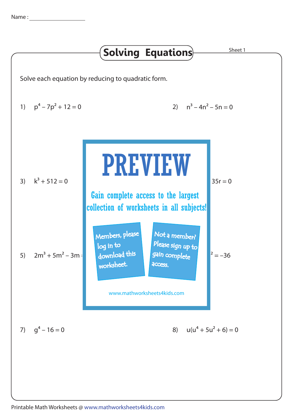